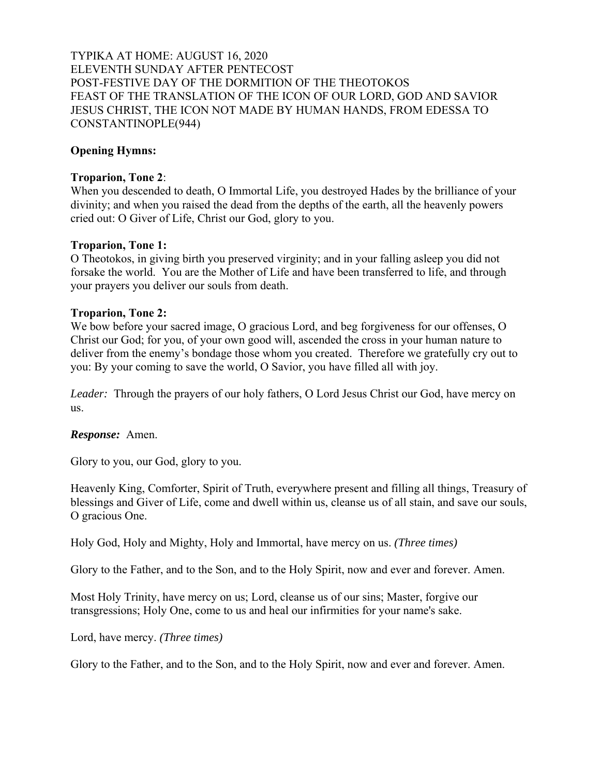# TYPIKA AT HOME: AUGUST 16, 2020 ELEVENTH SUNDAY AFTER PENTECOST POST-FESTIVE DAY OF THE DORMITION OF THE THEOTOKOS FEAST OF THE TRANSLATION OF THE ICON OF OUR LORD, GOD AND SAVIOR JESUS CHRIST, THE ICON NOT MADE BY HUMAN HANDS, FROM EDESSA TO CONSTANTINOPLE(944)

# **Opening Hymns:**

## **Troparion, Tone 2**:

When you descended to death, O Immortal Life, you destroyed Hades by the brilliance of your divinity; and when you raised the dead from the depths of the earth, all the heavenly powers cried out: O Giver of Life, Christ our God, glory to you.

### **Troparion, Tone 1:**

O Theotokos, in giving birth you preserved virginity; and in your falling asleep you did not forsake the world. You are the Mother of Life and have been transferred to life, and through your prayers you deliver our souls from death.

### **Troparion, Tone 2:**

We bow before your sacred image, O gracious Lord, and beg forgiveness for our offenses, O Christ our God; for you, of your own good will, ascended the cross in your human nature to deliver from the enemy's bondage those whom you created. Therefore we gratefully cry out to you: By your coming to save the world, O Savior, you have filled all with joy.

*Leader:* Through the prayers of our holy fathers, O Lord Jesus Christ our God, have mercy on us.

## *Response:* Amen.

Glory to you, our God, glory to you.

Heavenly King, Comforter, Spirit of Truth, everywhere present and filling all things, Treasury of blessings and Giver of Life, come and dwell within us, cleanse us of all stain, and save our souls, O gracious One.

Holy God, Holy and Mighty, Holy and Immortal, have mercy on us. *(Three times)* 

Glory to the Father, and to the Son, and to the Holy Spirit, now and ever and forever. Amen.

Most Holy Trinity, have mercy on us; Lord, cleanse us of our sins; Master, forgive our transgressions; Holy One, come to us and heal our infirmities for your name's sake.

Lord, have mercy. *(Three times)*

Glory to the Father, and to the Son, and to the Holy Spirit, now and ever and forever. Amen.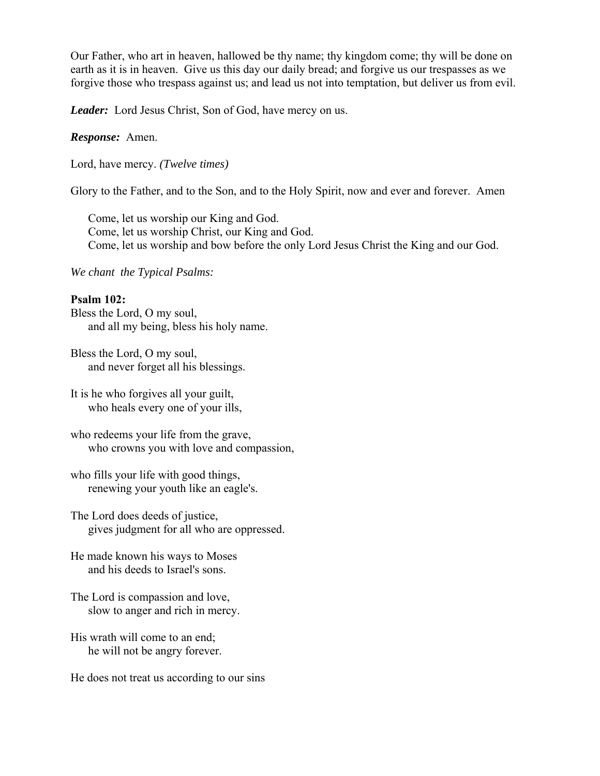Our Father, who art in heaven, hallowed be thy name; thy kingdom come; thy will be done on earth as it is in heaven. Give us this day our daily bread; and forgive us our trespasses as we forgive those who trespass against us; and lead us not into temptation, but deliver us from evil.

*Leader:* Lord Jesus Christ, Son of God, have mercy on us.

### *Response:* Amen.

Lord, have mercy. *(Twelve times)*

Glory to the Father, and to the Son, and to the Holy Spirit, now and ever and forever. Amen

Come, let us worship our King and God. Come, let us worship Christ, our King and God. Come, let us worship and bow before the only Lord Jesus Christ the King and our God.

*We chant the Typical Psalms:*

### **Psalm 102:**

Bless the Lord, O my soul, and all my being, bless his holy name.

Bless the Lord, O my soul, and never forget all his blessings.

It is he who forgives all your guilt, who heals every one of your ills,

who redeems your life from the grave, who crowns you with love and compassion,

who fills your life with good things, renewing your youth like an eagle's.

The Lord does deeds of justice, gives judgment for all who are oppressed.

He made known his ways to Moses and his deeds to Israel's sons.

The Lord is compassion and love, slow to anger and rich in mercy.

His wrath will come to an end; he will not be angry forever.

He does not treat us according to our sins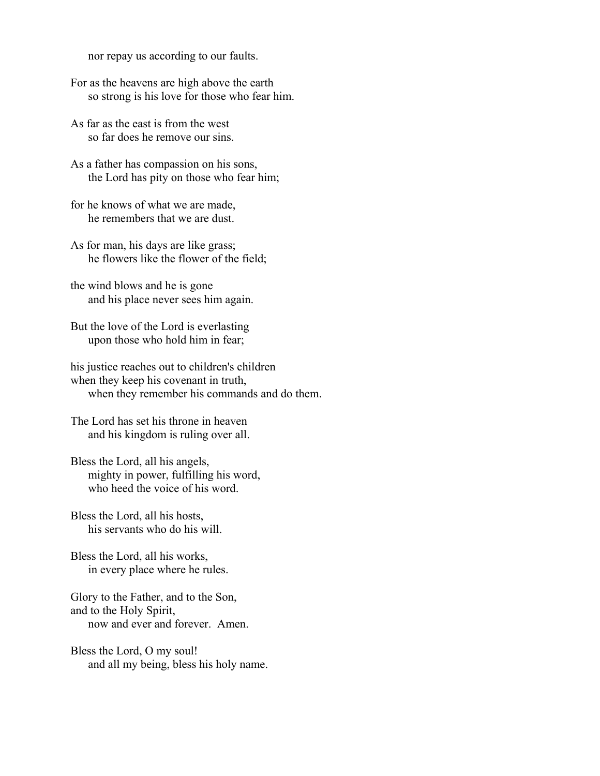nor repay us according to our faults.

For as the heavens are high above the earth so strong is his love for those who fear him.

As far as the east is from the west so far does he remove our sins.

As a father has compassion on his sons, the Lord has pity on those who fear him;

for he knows of what we are made, he remembers that we are dust.

As for man, his days are like grass; he flowers like the flower of the field;

the wind blows and he is gone and his place never sees him again.

But the love of the Lord is everlasting upon those who hold him in fear;

his justice reaches out to children's children when they keep his covenant in truth, when they remember his commands and do them.

The Lord has set his throne in heaven and his kingdom is ruling over all.

Bless the Lord, all his angels, mighty in power, fulfilling his word, who heed the voice of his word.

Bless the Lord, all his hosts, his servants who do his will.

Bless the Lord, all his works, in every place where he rules.

Glory to the Father, and to the Son, and to the Holy Spirit, now and ever and forever. Amen.

Bless the Lord, O my soul! and all my being, bless his holy name.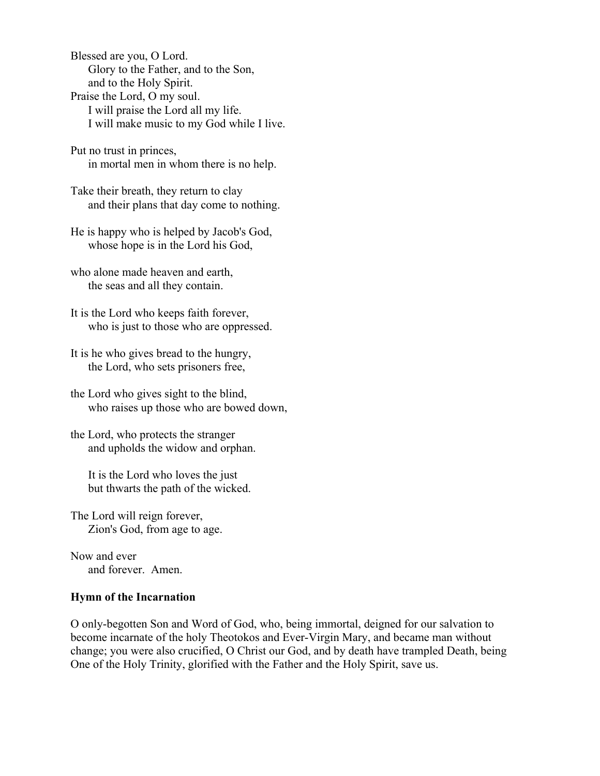Blessed are you, O Lord. Glory to the Father, and to the Son, and to the Holy Spirit. Praise the Lord, O my soul. I will praise the Lord all my life. I will make music to my God while I live.

Put no trust in princes, in mortal men in whom there is no help.

Take their breath, they return to clay and their plans that day come to nothing.

He is happy who is helped by Jacob's God, whose hope is in the Lord his God,

who alone made heaven and earth, the seas and all they contain.

It is the Lord who keeps faith forever, who is just to those who are oppressed.

It is he who gives bread to the hungry, the Lord, who sets prisoners free,

the Lord who gives sight to the blind, who raises up those who are bowed down,

the Lord, who protects the stranger and upholds the widow and orphan.

It is the Lord who loves the just but thwarts the path of the wicked.

The Lord will reign forever, Zion's God, from age to age.

Now and ever and forever. Amen.

## **Hymn of the Incarnation**

O only-begotten Son and Word of God, who, being immortal, deigned for our salvation to become incarnate of the holy Theotokos and Ever-Virgin Mary, and became man without change; you were also crucified, O Christ our God, and by death have trampled Death, being One of the Holy Trinity, glorified with the Father and the Holy Spirit, save us.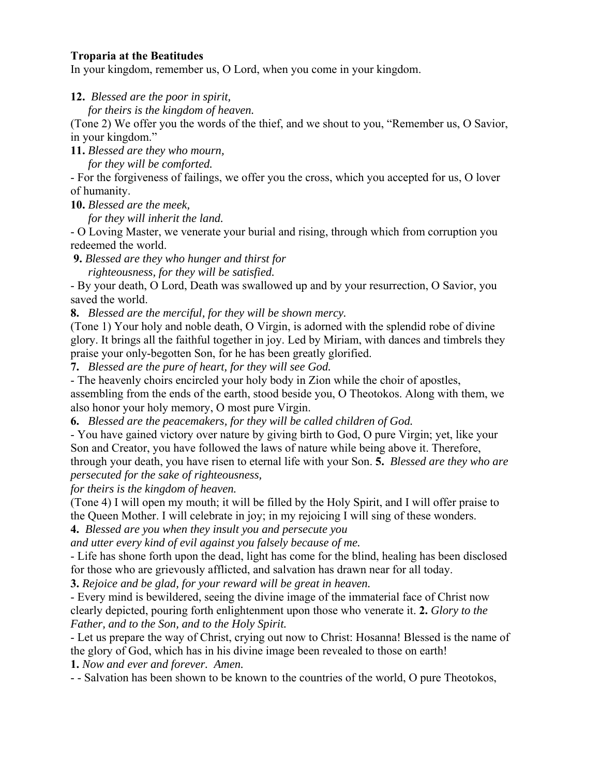## **Troparia at the Beatitudes**

In your kingdom, remember us, O Lord, when you come in your kingdom.

**12.** *Blessed are the poor in spirit,* 

 *for theirs is the kingdom of heaven.* 

(Tone 2) We offer you the words of the thief, and we shout to you, "Remember us, O Savior, in your kingdom."

**11.** *Blessed are they who mourn,* 

 *for they will be comforted.*

- For the forgiveness of failings, we offer you the cross, which you accepted for us, O lover of humanity.

**10.** *Blessed are the meek,* 

 *for they will inherit the land.*

- O Loving Master, we venerate your burial and rising, through which from corruption you redeemed the world.

**9.** *Blessed are they who hunger and thirst for* 

 *righteousness, for they will be satisfied.* 

- By your death, O Lord, Death was swallowed up and by your resurrection, O Savior, you saved the world.

**8.** *Blessed are the merciful, for they will be shown mercy.*

(Tone 1) Your holy and noble death, O Virgin, is adorned with the splendid robe of divine glory. It brings all the faithful together in joy. Led by Miriam, with dances and timbrels they praise your only-begotten Son, for he has been greatly glorified.

**7.** *Blessed are the pure of heart, for they will see God.*

- The heavenly choirs encircled your holy body in Zion while the choir of apostles, assembling from the ends of the earth, stood beside you, O Theotokos. Along with them, we also honor your holy memory, O most pure Virgin.

**6.** *Blessed are the peacemakers, for they will be called children of God.*

- You have gained victory over nature by giving birth to God, O pure Virgin; yet, like your Son and Creator, you have followed the laws of nature while being above it. Therefore, through your death, you have risen to eternal life with your Son. **5.** *Blessed are they who are persecuted for the sake of righteousness,* 

*for theirs is the kingdom of heaven.* 

(Tone 4) I will open my mouth; it will be filled by the Holy Spirit, and I will offer praise to the Queen Mother. I will celebrate in joy; in my rejoicing I will sing of these wonders.

**4.** *Blessed are you when they insult you and persecute you* 

*and utter every kind of evil against you falsely because of me.* 

- Life has shone forth upon the dead, light has come for the blind, healing has been disclosed for those who are grievously afflicted, and salvation has drawn near for all today.

**3.** *Rejoice and be glad, for your reward will be great in heaven.* 

- Every mind is bewildered, seeing the divine image of the immaterial face of Christ now clearly depicted, pouring forth enlightenment upon those who venerate it. **2.** *Glory to the Father, and to the Son, and to the Holy Spirit.* 

- Let us prepare the way of Christ, crying out now to Christ: Hosanna! Blessed is the name of the glory of God, which has in his divine image been revealed to those on earth!

**1.** *Now and ever and forever. Amen.*

- - Salvation has been shown to be known to the countries of the world, O pure Theotokos,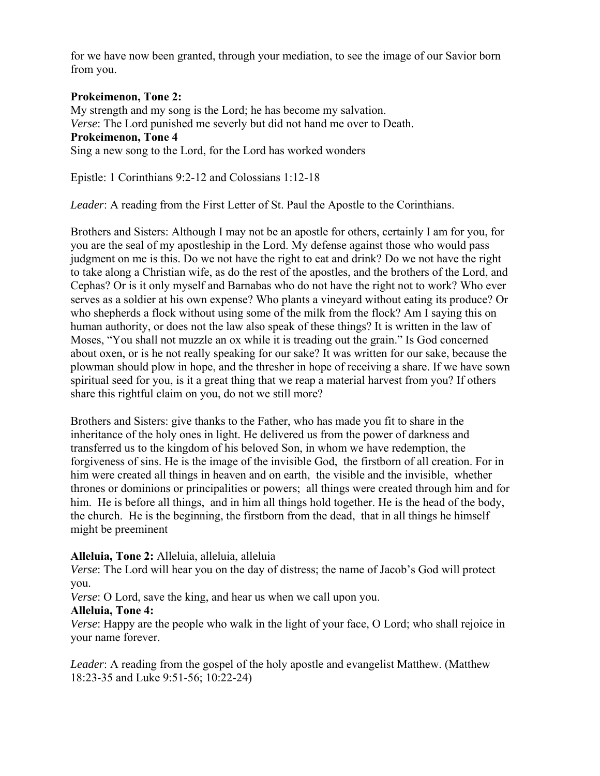for we have now been granted, through your mediation, to see the image of our Savior born from you.

### **Prokeimenon, Tone 2:**

My strength and my song is the Lord; he has become my salvation. *Verse*: The Lord punished me severly but did not hand me over to Death. **Prokeimenon, Tone 4** Sing a new song to the Lord, for the Lord has worked wonders

Epistle: 1 Corinthians 9:2-12 and Colossians 1:12-18

*Leader*: A reading from the First Letter of St. Paul the Apostle to the Corinthians.

Brothers and Sisters: Although I may not be an apostle for others, certainly I am for you, for you are the seal of my apostleship in the Lord. My defense against those who would pass judgment on me is this. Do we not have the right to eat and drink? Do we not have the right to take along a Christian wife, as do the rest of the apostles, and the brothers of the Lord, and Cephas? Or is it only myself and Barnabas who do not have the right not to work? Who ever serves as a soldier at his own expense? Who plants a vineyard without eating its produce? Or who shepherds a flock without using some of the milk from the flock? Am I saying this on human authority, or does not the law also speak of these things? It is written in the law of Moses, "You shall not muzzle an ox while it is treading out the grain." Is God concerned about oxen, or is he not really speaking for our sake? It was written for our sake, because the plowman should plow in hope, and the thresher in hope of receiving a share. If we have sown spiritual seed for you, is it a great thing that we reap a material harvest from you? If others share this rightful claim on you, do not we still more?

Brothers and Sisters: give thanks to the Father, who has made you fit to share in the inheritance of the holy ones in light. He delivered us from the power of darkness and transferred us to the kingdom of his beloved Son, in whom we have redemption, the forgiveness of sins. He is the image of the invisible God, the firstborn of all creation. For in him were created all things in heaven and on earth, the visible and the invisible, whether thrones or dominions or principalities or powers; all things were created through him and for him. He is before all things, and in him all things hold together. He is the head of the body, the church. He is the beginning, the firstborn from the dead, that in all things he himself might be preeminent

## **Alleluia, Tone 2:** Alleluia, alleluia, alleluia

*Verse*: The Lord will hear you on the day of distress; the name of Jacob's God will protect you.

*Verse*: O Lord, save the king, and hear us when we call upon you.

## **Alleluia, Tone 4:**

*Verse*: Happy are the people who walk in the light of your face, O Lord; who shall rejoice in your name forever.

*Leader*: A reading from the gospel of the holy apostle and evangelist Matthew. (Matthew 18:23-35 and Luke 9:51-56; 10:22-24)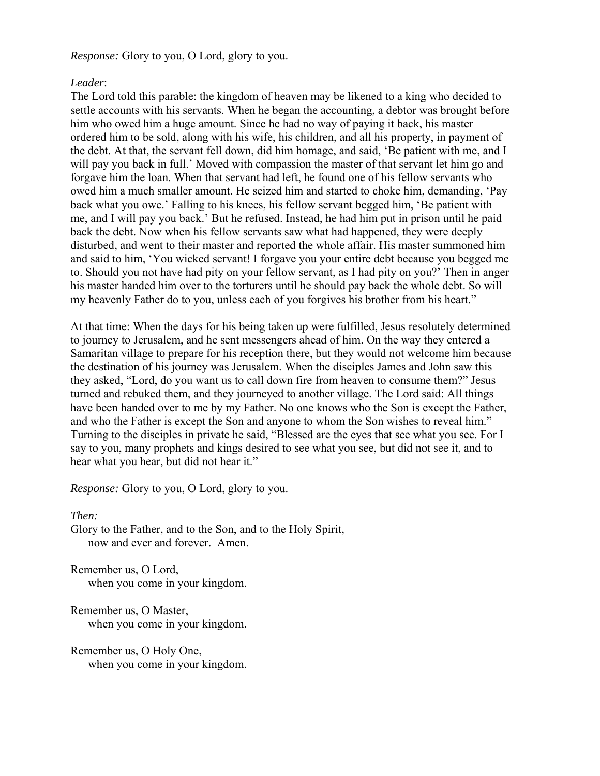*Response:* Glory to you, O Lord, glory to you.

### *Leader*:

The Lord told this parable: the kingdom of heaven may be likened to a king who decided to settle accounts with his servants. When he began the accounting, a debtor was brought before him who owed him a huge amount. Since he had no way of paying it back, his master ordered him to be sold, along with his wife, his children, and all his property, in payment of the debt. At that, the servant fell down, did him homage, and said, 'Be patient with me, and I will pay you back in full.' Moved with compassion the master of that servant let him go and forgave him the loan. When that servant had left, he found one of his fellow servants who owed him a much smaller amount. He seized him and started to choke him, demanding, 'Pay back what you owe.' Falling to his knees, his fellow servant begged him, 'Be patient with me, and I will pay you back.' But he refused. Instead, he had him put in prison until he paid back the debt. Now when his fellow servants saw what had happened, they were deeply disturbed, and went to their master and reported the whole affair. His master summoned him and said to him, 'You wicked servant! I forgave you your entire debt because you begged me to. Should you not have had pity on your fellow servant, as I had pity on you?' Then in anger his master handed him over to the torturers until he should pay back the whole debt. So will my heavenly Father do to you, unless each of you forgives his brother from his heart."

At that time: When the days for his being taken up were fulfilled, Jesus resolutely determined to journey to Jerusalem, and he sent messengers ahead of him. On the way they entered a Samaritan village to prepare for his reception there, but they would not welcome him because the destination of his journey was Jerusalem. When the disciples James and John saw this they asked, "Lord, do you want us to call down fire from heaven to consume them?" Jesus turned and rebuked them, and they journeyed to another village. The Lord said: All things have been handed over to me by my Father. No one knows who the Son is except the Father, and who the Father is except the Son and anyone to whom the Son wishes to reveal him." Turning to the disciples in private he said, "Blessed are the eyes that see what you see. For I say to you, many prophets and kings desired to see what you see, but did not see it, and to hear what you hear, but did not hear it."

*Response:* Glory to you, O Lord, glory to you.

*Then:* 

Glory to the Father, and to the Son, and to the Holy Spirit, now and ever and forever. Amen.

Remember us, O Lord, when you come in your kingdom.

Remember us, O Master, when you come in your kingdom.

Remember us, O Holy One, when you come in your kingdom.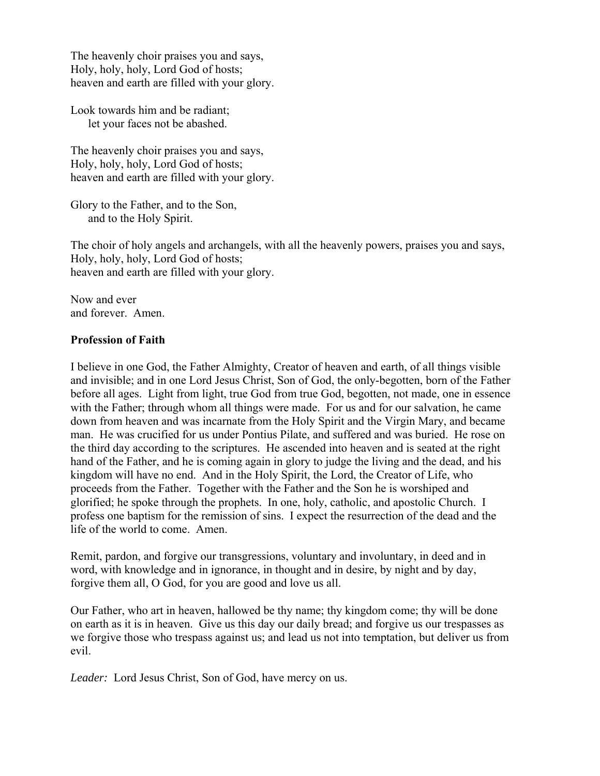The heavenly choir praises you and says, Holy, holy, holy, Lord God of hosts; heaven and earth are filled with your glory.

Look towards him and be radiant; let your faces not be abashed.

The heavenly choir praises you and says, Holy, holy, holy, Lord God of hosts; heaven and earth are filled with your glory.

Glory to the Father, and to the Son, and to the Holy Spirit.

The choir of holy angels and archangels, with all the heavenly powers, praises you and says, Holy, holy, holy, Lord God of hosts; heaven and earth are filled with your glory.

Now and ever and forever. Amen.

# **Profession of Faith**

I believe in one God, the Father Almighty, Creator of heaven and earth, of all things visible and invisible; and in one Lord Jesus Christ, Son of God, the only-begotten, born of the Father before all ages. Light from light, true God from true God, begotten, not made, one in essence with the Father; through whom all things were made. For us and for our salvation, he came down from heaven and was incarnate from the Holy Spirit and the Virgin Mary, and became man. He was crucified for us under Pontius Pilate, and suffered and was buried. He rose on the third day according to the scriptures. He ascended into heaven and is seated at the right hand of the Father, and he is coming again in glory to judge the living and the dead, and his kingdom will have no end. And in the Holy Spirit, the Lord, the Creator of Life, who proceeds from the Father. Together with the Father and the Son he is worshiped and glorified; he spoke through the prophets. In one, holy, catholic, and apostolic Church. I profess one baptism for the remission of sins. I expect the resurrection of the dead and the life of the world to come. Amen.

Remit, pardon, and forgive our transgressions, voluntary and involuntary, in deed and in word, with knowledge and in ignorance, in thought and in desire, by night and by day, forgive them all, O God, for you are good and love us all.

Our Father, who art in heaven, hallowed be thy name; thy kingdom come; thy will be done on earth as it is in heaven. Give us this day our daily bread; and forgive us our trespasses as we forgive those who trespass against us; and lead us not into temptation, but deliver us from evil.

*Leader:* Lord Jesus Christ, Son of God, have mercy on us.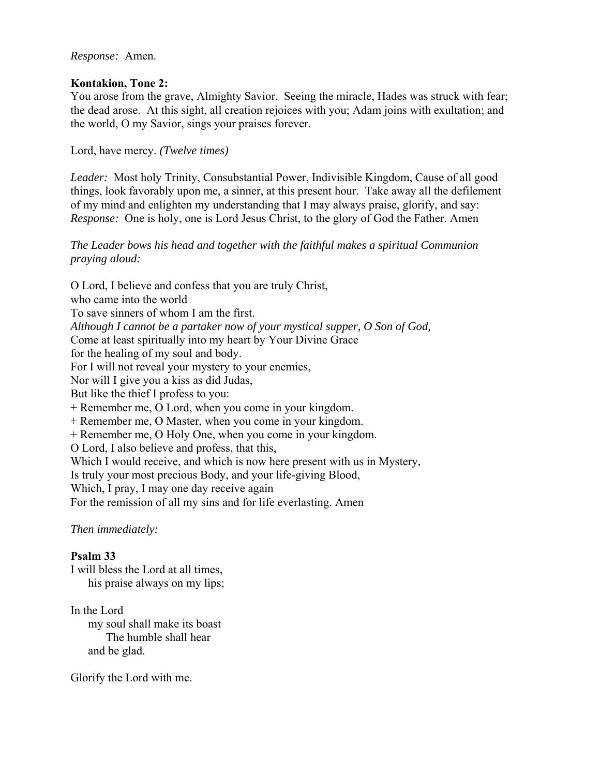## *Response:* Amen.

## **Kontakion, Tone 2:**

You arose from the grave, Almighty Savior. Seeing the miracle, Hades was struck with fear; the dead arose. At this sight, all creation rejoices with you; Adam joins with exultation; and the world, O my Savior, sings your praises forever.

Lord, have mercy. *(Twelve times)*

*Leader:* Most holy Trinity, Consubstantial Power, Indivisible Kingdom, Cause of all good things, look favorably upon me, a sinner, at this present hour. Take away all the defilement of my mind and enlighten my understanding that I may always praise, glorify, and say: *Response:* One is holy, one is Lord Jesus Christ, to the glory of God the Father. Amen

*The Leader bows his head and together with the faithful makes a spiritual Communion praying aloud:* 

O Lord, I believe and confess that you are truly Christ, who came into the world To save sinners of whom I am the first. *Although I cannot be a partaker now of your mystical supper, O Son of God,* Come at least spiritually into my heart by Your Divine Grace for the healing of my soul and body. For I will not reveal your mystery to your enemies, Nor will I give you a kiss as did Judas, But like the thief I profess to you: + Remember me, O Lord, when you come in your kingdom. + Remember me, O Master, when you come in your kingdom. + Remember me, O Holy One, when you come in your kingdom. O Lord, I also believe and profess, that this, Which I would receive, and which is now here present with us in Mystery, Is truly your most precious Body, and your life-giving Blood, Which, I pray, I may one day receive again For the remission of all my sins and for life everlasting. Amen

*Then immediately:*

## **Psalm 33**

I will bless the Lord at all times, his praise always on my lips;

In the Lord my soul shall make its boast The humble shall hear and be glad.

Glorify the Lord with me.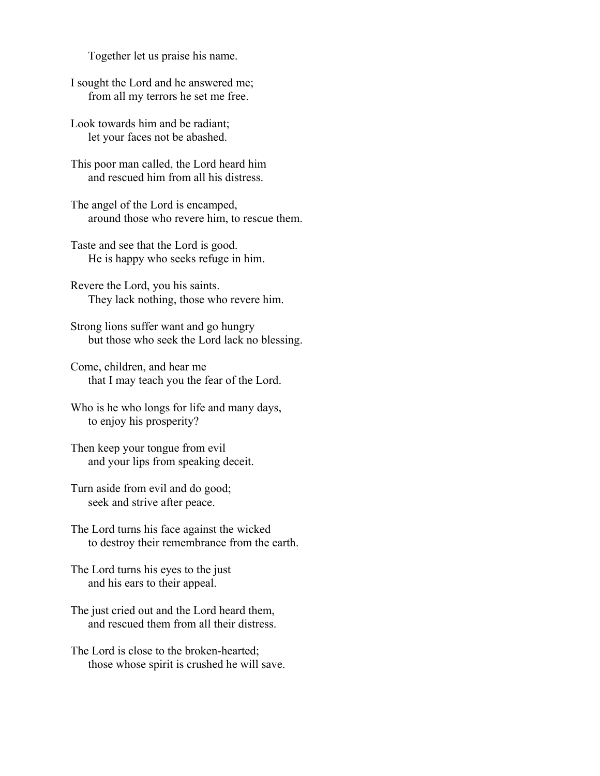Together let us praise his name.

I sought the Lord and he answered me; from all my terrors he set me free.

Look towards him and be radiant; let your faces not be abashed.

This poor man called, the Lord heard him and rescued him from all his distress.

The angel of the Lord is encamped, around those who revere him, to rescue them.

Taste and see that the Lord is good. He is happy who seeks refuge in him.

Revere the Lord, you his saints. They lack nothing, those who revere him.

Strong lions suffer want and go hungry but those who seek the Lord lack no blessing.

Come, children, and hear me that I may teach you the fear of the Lord.

Who is he who longs for life and many days, to enjoy his prosperity?

Then keep your tongue from evil and your lips from speaking deceit.

Turn aside from evil and do good; seek and strive after peace.

The Lord turns his face against the wicked to destroy their remembrance from the earth.

The Lord turns his eyes to the just and his ears to their appeal.

The just cried out and the Lord heard them, and rescued them from all their distress.

The Lord is close to the broken-hearted; those whose spirit is crushed he will save.